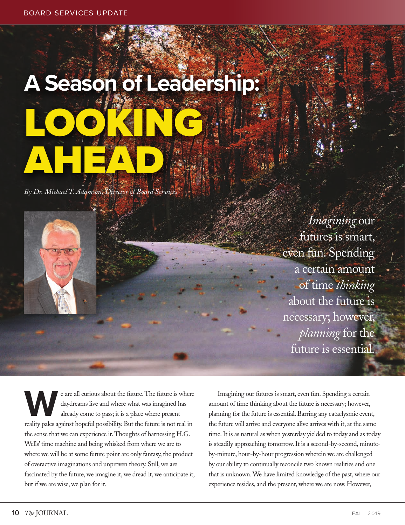## **A Season of Leadership:** LOOKING AHEAD

*By Dr. Michael T. Adamson, Director of Board Services*

*Imagining* our futures is smart, even fun. Spending a certain amount of time *thinking* about the future is necessary; however, *planning* for the future is essential.

e are all curious about the future. The future is where daydreams live and where what was imagined has already come to pass; it is a place where present reality pales against hopeful possibility. But the future is not real in the sense that we can experience it. Thoughts of harnessing H.G. Wells' time machine and being whisked from where we are to where we will be at some future point are only fantasy, the product of overactive imaginations and unproven theory. Still, we are fascinated by the future, we imagine it, we dread it, we anticipate it, but if we are wise, we plan for it.

Imagining our futures is smart, even fun. Spending a certain amount of time thinking about the future is necessary; however, planning for the future is essential. Barring any cataclysmic event, the future will arrive and everyone alive arrives with it, at the same time. It is as natural as when yesterday yielded to today and as today is steadily approaching tomorrow. It is a second-by-second, minuteby-minute, hour-by-hour progression wherein we are challenged by our ability to continually reconcile two known realities and one that is unknown. We have limited knowledge of the past, where our experience resides, and the present, where we are now. However,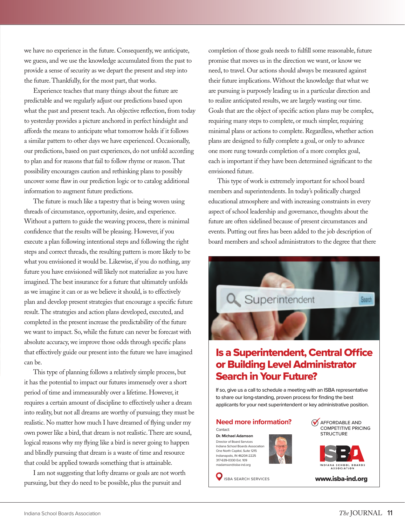we have no experience in the future. Consequently, we anticipate, we guess, and we use the knowledge accumulated from the past to provide a sense of security as we depart the present and step into the future. Thankfully, for the most part, that works.

Experience teaches that many things about the future are predictable and we regularly adjust our predictions based upon what the past and present teach. An objective reflection, from today to yesterday provides a picture anchored in perfect hindsight and affords the means to anticipate what tomorrow holds if it follows a similar pattern to other days we have experienced. Occasionally, our predictions, based on past experiences, do not unfold according to plan and for reasons that fail to follow rhyme or reason. That possibility encourages caution and rethinking plans to possibly uncover some flaw in our prediction logic or to catalog additional information to augment future predictions.

The future is much like a tapestry that is being woven using threads of circumstance, opportunity, desire, and experience. Without a pattern to guide the weaving process, there is minimal confidence that the results will be pleasing. However, if you execute a plan following intentional steps and following the right steps and correct threads, the resulting pattern is more likely to be what you envisioned it would be. Likewise, if you do nothing, any future you have envisioned will likely not materialize as you have imagined. The best insurance for a future that ultimately unfolds as we imagine it can or as we believe it should, is to effectively plan and develop present strategies that encourage a specific future result. The strategies and action plans developed, executed, and completed in the present increase the predictability of the future we want to impact. So, while the future can never be forecast with absolute accuracy, we improve those odds through specific plans that effectively guide our present into the future we have imagined can be.

This type of planning follows a relatively simple process, but it has the potential to impact our futures immensely over a short period of time and immeasurably over a lifetime. However, it requires a certain amount of discipline to effectively usher a dream into reality, but not all dreams are worthy of pursuing; they must be realistic. No matter how much I have dreamed of flying under my own power like a bird, that dream is not realistic. There are sound, logical reasons why my flying like a bird is never going to happen and blindly pursuing that dream is a waste of time and resource that could be applied towards something that is attainable.

I am not suggesting that lofty dreams or goals are not worth pursuing, but they do need to be possible, plus the pursuit and

completion of those goals needs to fulfill some reasonable, future promise that moves us in the direction we want, or know we need, to travel. Our actions should always be measured against their future implications. Without the knowledge that what we are pursuing is purposely leading us in a particular direction and to realize anticipated results, we are largely wasting our time. Goals that are the object of specific action plans may be complex, requiring many steps to complete, or much simpler, requiring minimal plans or actions to complete. Regardless, whether action plans are designed to fully complete a goal, or only to advance one more rung towards completion of a more complex goal, each is important if they have been determined significant to the envisioned future.

This type of work is extremely important for school board members and superintendents. In today's politically charged educational atmosphere and with increasing constraints in every aspect of school leadership and governance, thoughts about the future are often sidelined because of present circumstances and events. Putting out fires has been added to the job description of board members and school administrators to the degree that there





317-639-0330 Ext. 109 madamson@isba-ind.org